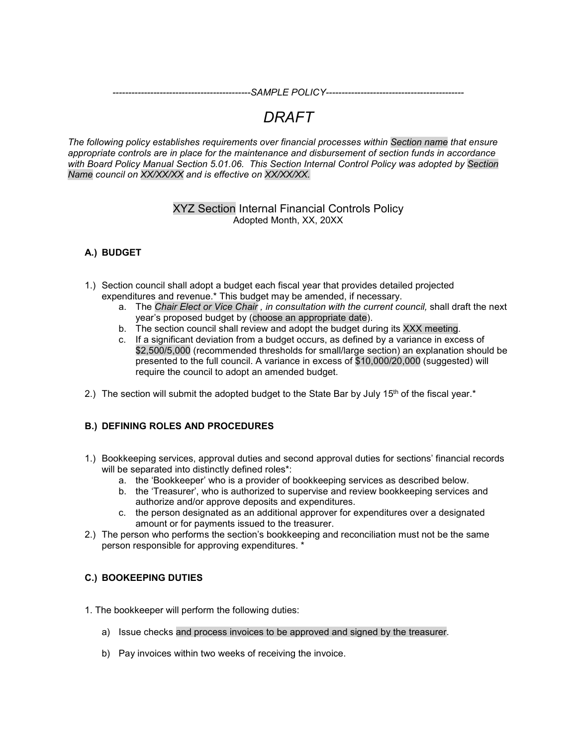*--------------------------------------------SAMPLE POLICY--------------------------------------------*

# *DRAFT*

*The following policy establishes requirements over financial processes within Section name that ensure appropriate controls are in place for the maintenance and disbursement of section funds in accordance with Board Policy Manual Section 5.01.06. This Section Internal Control Policy was adopted by Section Name council on XX/XX/XX and is effective on XX/XX/XX.*

## XYZ Section Internal Financial Controls Policy Adopted Month, XX, 20XX

## **A.) BUDGET**

- 1.) Section council shall adopt a budget each fiscal year that provides detailed projected expenditures and revenue.\* This budget may be amended, if necessary.
	- a. The *Chair Elect or Vice Chair , in consultation with the current council,* shall draft the next year's proposed budget by (choose an appropriate date).
	- b. The section council shall review and adopt the budget during its XXX meeting.
	- c. If a significant deviation from a budget occurs, as defined by a variance in excess of \$2,500/5,000 (recommended thresholds for small/large section) an explanation should be presented to the full council. A variance in excess of \$10,000/20,000 (suggested) will require the council to adopt an amended budget.
- 2.) The section will submit the adopted budget to the State Bar by July  $15<sup>th</sup>$  of the fiscal year. $*$

#### **B.) DEFINING ROLES AND PROCEDURES**

- 1.) Bookkeeping services, approval duties and second approval duties for sections' financial records will be separated into distinctly defined roles\*:
	- a. the 'Bookkeeper' who is a provider of bookkeeping services as described below.
	- b. the 'Treasurer', who is authorized to supervise and review bookkeeping services and authorize and/or approve deposits and expenditures.
	- c. the person designated as an additional approver for expenditures over a designated amount or for payments issued to the treasurer.
- 2.) The person who performs the section's bookkeeping and reconciliation must not be the same person responsible for approving expenditures. \*

#### **C.) BOOKEEPING DUTIES**

- 1. The bookkeeper will perform the following duties:
	- a) Issue checks and process invoices to be approved and signed by the treasurer.
	- b) Pay invoices within two weeks of receiving the invoice.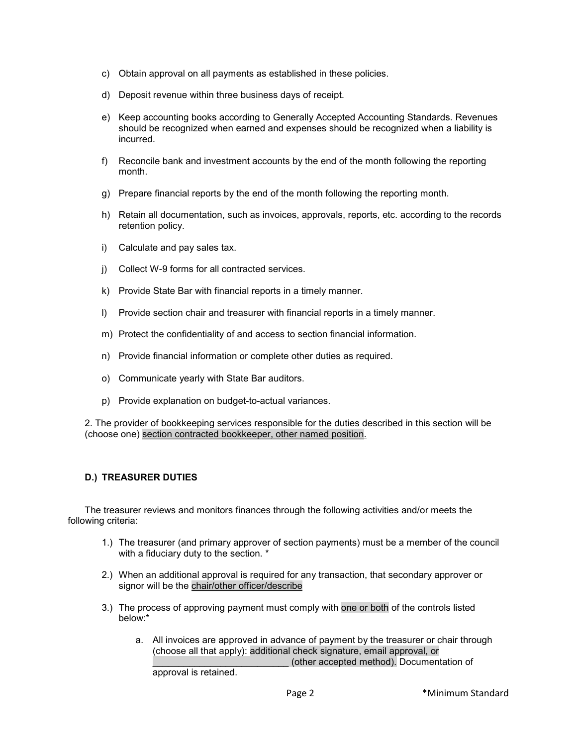- c) Obtain approval on all payments as established in these policies.
- d) Deposit revenue within three business days of receipt.
- e) Keep accounting books according to Generally Accepted Accounting Standards. Revenues should be recognized when earned and expenses should be recognized when a liability is incurred.
- f) Reconcile bank and investment accounts by the end of the month following the reporting month.
- g) Prepare financial reports by the end of the month following the reporting month.
- h) Retain all documentation, such as invoices, approvals, reports, etc. according to the records retention policy.
- i) Calculate and pay sales tax.
- j) Collect W-9 forms for all contracted services.
- k) Provide State Bar with financial reports in a timely manner.
- l) Provide section chair and treasurer with financial reports in a timely manner.
- m) Protect the confidentiality of and access to section financial information.
- n) Provide financial information or complete other duties as required.
- o) Communicate yearly with State Bar auditors.
- p) Provide explanation on budget-to-actual variances.

2. The provider of bookkeeping services responsible for the duties described in this section will be (choose one) section contracted bookkeeper, other named position.

## **D.) TREASURER DUTIES**

The treasurer reviews and monitors finances through the following activities and/or meets the following criteria:

- 1.) The treasurer (and primary approver of section payments) must be a member of the council with a fiduciary duty to the section. \*
- 2.) When an additional approval is required for any transaction, that secondary approver or signor will be the chair/other officer/describe
- 3.) The process of approving payment must comply with one or both of the controls listed below:\*
	- a. All invoices are approved in advance of payment by the treasurer or chair through (choose all that apply): additional check signature, email approval, or \_\_\_\_\_\_\_\_\_\_\_\_\_\_\_\_\_\_\_\_\_\_\_\_\_\_ (other accepted method). Documentation of approval is retained.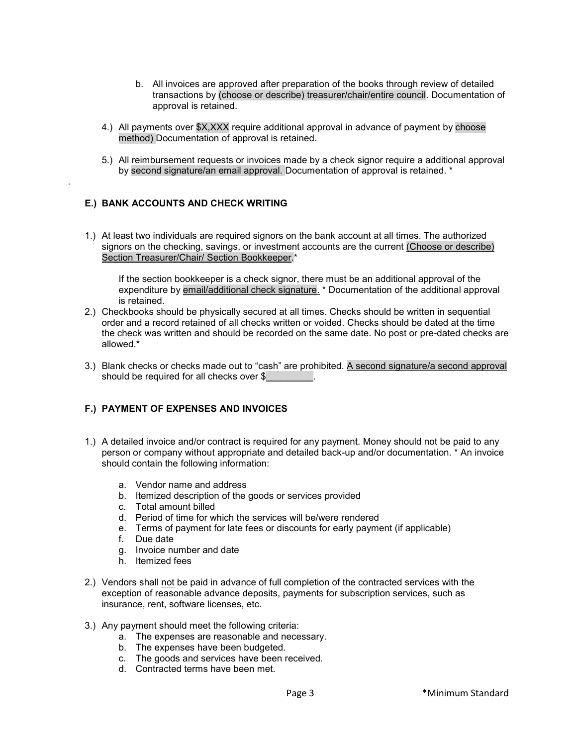- b. All invoices are approved after preparation of the books through review of detailed transactions by (choose or describe) treasurer/chair/entire council. Documentation of approval is retained.
- 4.) All payments over \$X,XXX require additional approval in advance of payment by choose method) Documentation of approval is retained.
- 5.) All reimbursement requests or invoices made by a check signor require a additional approval by second signature/an email approval. Documentation of approval is retained. \*

#### **E.) BANK ACCOUNTS AND CHECK WRITING**

.

1.) At least two individuals are required signors on the bank account at all times. The authorized signors on the checking, savings, or investment accounts are the current (Choose or describe) Section Treasurer/Chair/ Section Bookkeeper.\*

If the section bookkeeper is a check signor, there must be an additional approval of the expenditure by email/additional check signature. \* Documentation of the additional approval is retained.

- 2.) Checkbooks should be physically secured at all times. Checks should be written in sequential order and a record retained of all checks written or voided. Checks should be dated at the time the check was written and should be recorded on the same date. No post or pre-dated checks are allowed.\*
- 3.) Blank checks or checks made out to "cash" are prohibited. A second signature/a second approval should be required for all checks over \$

#### **F.) PAYMENT OF EXPENSES AND INVOICES**

- 1.) A detailed invoice and/or contract is required for any payment. Money should not be paid to any person or company without appropriate and detailed back-up and/or documentation. \* An invoice should contain the following information:
	- a. Vendor name and address
	- b. Itemized description of the goods or services provided
	- c. Total amount billed
	- d. Period of time for which the services will be/were rendered
	- e. Terms of payment for late fees or discounts for early payment (if applicable)
	- f. Due date
	- g. Invoice number and date
	- h. Itemized fees
- 2.) Vendors shall not be paid in advance of full completion of the contracted services with the exception of reasonable advance deposits, payments for subscription services, such as insurance, rent, software licenses, etc.
- 3.) Any payment should meet the following criteria:
	- a. The expenses are reasonable and necessary.
	- b. The expenses have been budgeted.
	- c. The goods and services have been received.
	- d. Contracted terms have been met.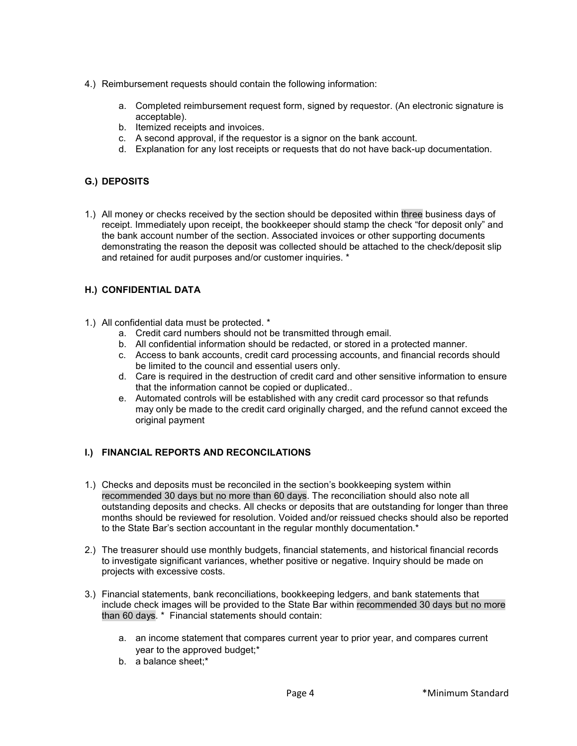- 4.) Reimbursement requests should contain the following information:
	- a. Completed reimbursement request form, signed by requestor. (An electronic signature is acceptable).
	- b. Itemized receipts and invoices.
	- c. A second approval, if the requestor is a signor on the bank account.
	- d. Explanation for any lost receipts or requests that do not have back-up documentation.

#### **G.) DEPOSITS**

1.) All money or checks received by the section should be deposited within three business days of receipt. Immediately upon receipt, the bookkeeper should stamp the check "for deposit only" and the bank account number of the section. Associated invoices or other supporting documents demonstrating the reason the deposit was collected should be attached to the check/deposit slip and retained for audit purposes and/or customer inquiries. \*

#### **H.) CONFIDENTIAL DATA**

- 1.) All confidential data must be protected. \*
	- a. Credit card numbers should not be transmitted through email.
	- b. All confidential information should be redacted, or stored in a protected manner.
	- c. Access to bank accounts, credit card processing accounts, and financial records should be limited to the council and essential users only.
	- d. Care is required in the destruction of credit card and other sensitive information to ensure that the information cannot be copied or duplicated..
	- e. Automated controls will be established with any credit card processor so that refunds may only be made to the credit card originally charged, and the refund cannot exceed the original payment

#### **I.) FINANCIAL REPORTS AND RECONCILATIONS**

- 1.) Checks and deposits must be reconciled in the section's bookkeeping system within recommended 30 days but no more than 60 days. The reconciliation should also note all outstanding deposits and checks. All checks or deposits that are outstanding for longer than three months should be reviewed for resolution. Voided and/or reissued checks should also be reported to the State Bar's section accountant in the regular monthly documentation.\*
- 2.) The treasurer should use monthly budgets, financial statements, and historical financial records to investigate significant variances, whether positive or negative. Inquiry should be made on projects with excessive costs.
- 3.) Financial statements, bank reconciliations, bookkeeping ledgers, and bank statements that include check images will be provided to the State Bar within recommended 30 days but no more than 60 days. \* Financial statements should contain:
	- a. an income statement that compares current year to prior year, and compares current year to the approved budget;\*
	- b. a balance sheet;\*